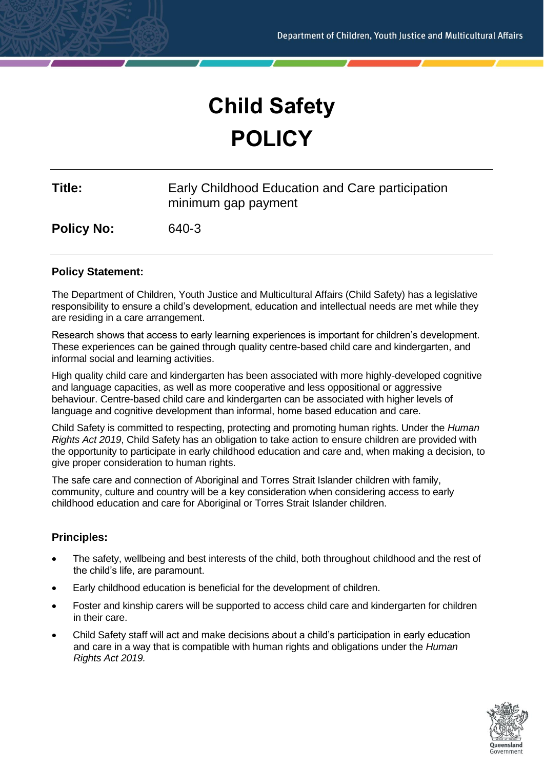# **Child Safety POLICY**

| Title: | Early Childhood Education and Care participation |
|--------|--------------------------------------------------|
|        | minimum gap payment                              |

**Policy No:** 640-3

# **Policy Statement:**

The Department of Children, Youth Justice and Multicultural Affairs (Child Safety) has a legislative responsibility to ensure a child's development, education and intellectual needs are met while they are residing in a care arrangement.

Research shows that access to early learning experiences is important for children's development. These experiences can be gained through quality centre-based child care and kindergarten, and informal social and learning activities.

High quality child care and kindergarten has been associated with more highly-developed cognitive and language capacities, as well as more cooperative and less oppositional or aggressive behaviour. Centre-based child care and kindergarten can be associated with higher levels of language and cognitive development than informal, home based education and care.

Child Safety is committed to respecting, protecting and promoting human rights. Under the *Human Rights Act 2019*, Child Safety has an obligation to take action to ensure children are provided with the opportunity to participate in early childhood education and care and, when making a decision, to give proper consideration to human rights.

The safe care and connection of Aboriginal and Torres Strait Islander children with family, community, culture and country will be a key consideration when considering access to early childhood education and care for Aboriginal or Torres Strait Islander children.

# **Principles:**

- The safety, wellbeing and best interests of the child, both throughout childhood and the rest of the child's life, are paramount.
- Early childhood education is beneficial for the development of children.
- Foster and kinship carers will be supported to access child care and kindergarten for children in their care.
- Child Safety staff will act and make decisions about a child's participation in early education and care in a way that is compatible with human rights and obligations under the *Human Rights Act 2019.*

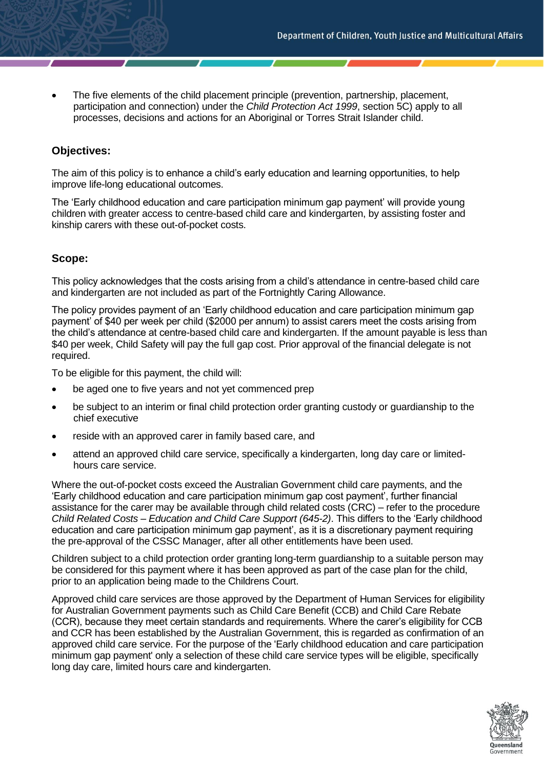• The five elements of the child placement principle (prevention, partnership, placement, participation and connection) under the *Child Protection Act 1999*, section 5C) apply to all processes, decisions and actions for an Aboriginal or Torres Strait Islander child.

# **Objectives:**

The aim of this policy is to enhance a child's early education and learning opportunities, to help improve life-long educational outcomes.

The 'Early childhood education and care participation minimum gap payment' will provide young children with greater access to centre-based child care and kindergarten, by assisting foster and kinship carers with these out-of-pocket costs.

#### **Scope:**

This policy acknowledges that the costs arising from a child's attendance in centre-based child care and kindergarten are not included as part of the Fortnightly Caring Allowance.

The policy provides payment of an 'Early childhood education and care participation minimum gap payment' of \$40 per week per child (\$2000 per annum) to assist carers meet the costs arising from the child's attendance at centre-based child care and kindergarten. If the amount payable is less than \$40 per week, Child Safety will pay the full gap cost. Prior approval of the financial delegate is not required.

To be eligible for this payment, the child will:

- be aged one to five years and not yet commenced prep
- be subject to an interim or final child protection order granting custody or guardianship to the chief executive
- reside with an approved carer in family based care, and
- attend an approved child care service, specifically a kindergarten, long day care or limitedhours care service.

Where the out-of-pocket costs exceed the Australian Government child care payments, and the 'Early childhood education and care participation minimum gap cost payment', further financial assistance for the carer may be available through child related costs (CRC) – refer to the procedure *Child Related Costs – Education and Child Care Support (645-2)*. This differs to the 'Early childhood education and care participation minimum gap payment', as it is a discretionary payment requiring the pre-approval of the CSSC Manager, after all other entitlements have been used.

Children subject to a child protection order granting long-term guardianship to a suitable person may be considered for this payment where it has been approved as part of the case plan for the child, prior to an application being made to the Childrens Court.

Approved child care services are those approved by the Department of Human Services for eligibility for Australian Government payments such as Child Care Benefit (CCB) and Child Care Rebate (CCR), because they meet certain standards and requirements. Where the carer's eligibility for CCB and CCR has been established by the Australian Government, this is regarded as confirmation of an approved child care service. For the purpose of the 'Early childhood education and care participation minimum gap payment' only a selection of these child care service types will be eligible, specifically long day care, limited hours care and kindergarten.

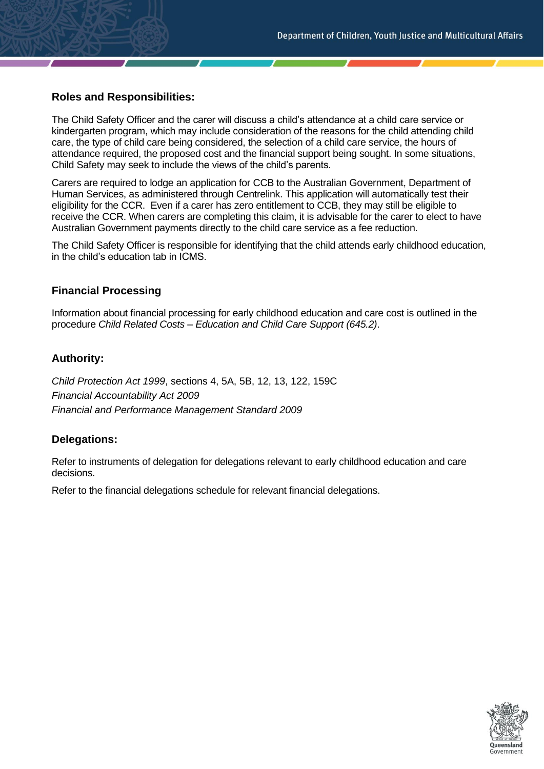# **Roles and Responsibilities:**

The Child Safety Officer and the carer will discuss a child's attendance at a child care service or kindergarten program, which may include consideration of the reasons for the child attending child care, the type of child care being considered, the selection of a child care service, the hours of attendance required, the proposed cost and the financial support being sought. In some situations, Child Safety may seek to include the views of the child's parents.

Carers are required to lodge an application for CCB to the Australian Government, Department of Human Services, as administered through Centrelink. This application will automatically test their eligibility for the CCR. Even if a carer has zero entitlement to CCB, they may still be eligible to receive the CCR. When carers are completing this claim, it is advisable for the carer to elect to have Australian Government payments directly to the child care service as a fee reduction.

The Child Safety Officer is responsible for identifying that the child attends early childhood education, in the child's education tab in ICMS.

## **Financial Processing**

Information about financial processing for early childhood education and care cost is outlined in the procedure *Child Related Costs – Education and Child Care Support (645.2)*.

## **Authority:**

*Child Protection Act 1999*, sections 4, 5A, 5B, 12, 13, 122, 159C *Financial Accountability Act 2009 Financial and Performance Management Standard 2009*

# **Delegations:**

Refer to instruments of delegation for delegations relevant to early childhood education and care decisions.

Refer to the financial delegations schedule for relevant financial delegations.

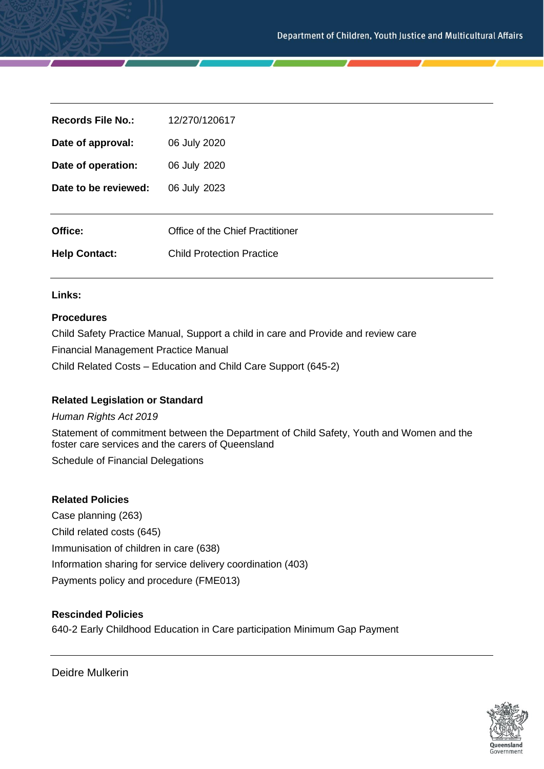| <b>Records File No.:</b> | 12/270/120617                    |
|--------------------------|----------------------------------|
| Date of approval:        | 06 July 2020                     |
| Date of operation:       | 06 July 2020                     |
| Date to be reviewed:     | 06 July 2023                     |
|                          |                                  |
| Office:                  | Office of the Chief Practitioner |
| <b>Help Contact:</b>     | <b>Child Protection Practice</b> |

#### **Links:**

#### **Procedures**

Child Safety Practice Manual, Support a child in care and Provide and review care Financial Management Practice Manual Child Related Costs – Education and Child Care Support (645-2)

#### **Related Legislation or Standard**

#### *Human Rights Act 2019*

Statement of commitment between the Department of Child Safety, Youth and Women and the foster care services and the carers of Queensland

Schedule of Financial Delegations

#### **Related Policies**

Case planning (263) Child related costs (645) Immunisation of children in care (638) Information sharing for service delivery coordination (403) Payments policy and procedure (FME013)

#### **Rescinded Policies**

640-2 Early Childhood Education in Care participation Minimum Gap Payment

Deidre Mulkerin